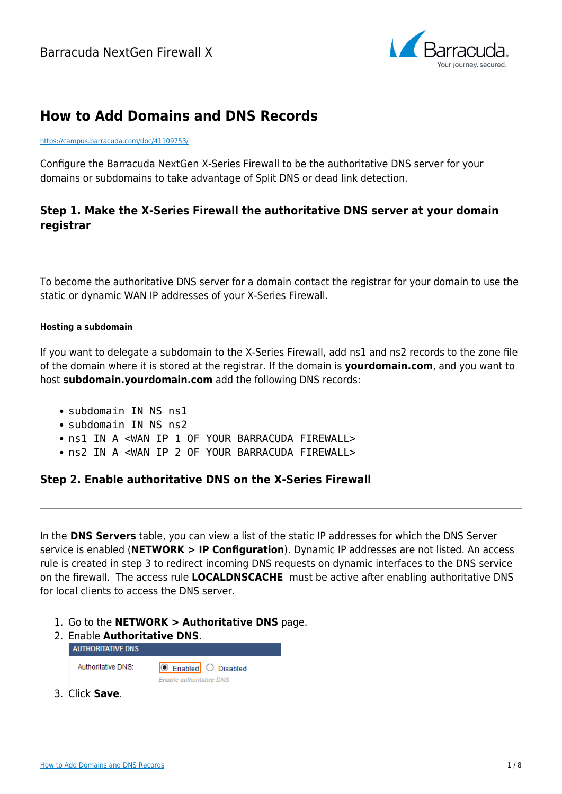

# **How to Add Domains and DNS Records**

<https://campus.barracuda.com/doc/41109753/>

Configure the Barracuda NextGen X-Series Firewall to be the authoritative DNS server for your domains or subdomains to take advantage of Split DNS or dead link detection.

## **Step 1. Make the X-Series Firewall the authoritative DNS server at your domain registrar**

To become the authoritative DNS server for a domain contact the registrar for your domain to use the static or dynamic WAN IP addresses of your X-Series Firewall.

### **Hosting a subdomain**

If you want to delegate a subdomain to the X-Series Firewall, add ns1 and ns2 records to the zone file of the domain where it is stored at the registrar. If the domain is **yourdomain.com**, and you want to host **subdomain.yourdomain.com** add the following DNS records:

- subdomain IN NS ns1
- subdomain IN NS ns2
- ns1 IN A <WAN IP 1 OF YOUR BARRACUDA FIREWALL>
- ns2 IN A <WAN IP 2 OF YOUR BARRACUDA FIREWALL>

# **Step 2. Enable authoritative DNS on the X-Series Firewall**

In the **DNS Servers** table, you can view a list of the static IP addresses for which the DNS Server service is enabled (**NETWORK > IP Configuration**). Dynamic IP addresses are not listed. An access rule is created in step 3 to redirect incoming DNS requests on dynamic interfaces to the DNS service on the firewall. The access rule **LOCALDNSCACHE** must be active after enabling authoritative DNS for local clients to access the DNS server.

- 1. Go to the **NETWORK > Authoritative DNS** page.
- 2. Enable **Authoritative DNS**. **AUTHORITATIVE DNS** Authoritative DNS: **● Enabled** ○ Disabled

**Enable authoritative DNS** 

3. Click **Save**.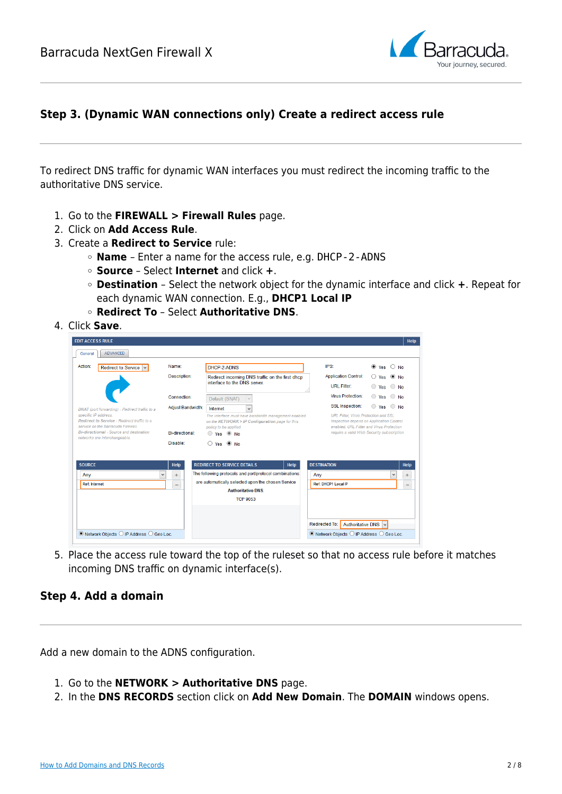

# **Step 3. (Dynamic WAN connections only) Create a redirect access rule**

To redirect DNS traffic for dynamic WAN interfaces you must redirect the incoming traffic to the authoritative DNS service.

- 1. Go to the **FIREWALL > Firewall Rules** page.
- 2. Click on **Add Access Rule**.
- 3. Create a **Redirect to Service** rule:
	- **Name**  Enter a name for the access rule, e.g. DHCP-2-ADNS
	- **Source** Select **Internet** and click **+**.
	- **Destination**  Select the network object for the dynamic interface and click **+**. Repeat for each dynamic WAN connection. E.g., **DHCP1 Local IP**
	- **Redirect To** Select **Authoritative DNS**.
- 4. Click **Save**.

| Action:<br>Redirect to Service                                                                   | Name:                       | DHCP-2-ADNS                                                                                                                          | IPS:                        | $\circ$<br>Yes<br>$\bigcirc$ No            |
|--------------------------------------------------------------------------------------------------|-----------------------------|--------------------------------------------------------------------------------------------------------------------------------------|-----------------------------|--------------------------------------------|
|                                                                                                  | Description:                | Redirect incoming DNS traffic on the first dhcp                                                                                      | <b>Application Control:</b> | © No<br>$\bigcirc$ Yes                     |
|                                                                                                  |                             | interface to the DNS server.                                                                                                         | <b>URL Filter:</b><br>.11   | $\circ$ Yes<br>$\bigcirc$ No               |
|                                                                                                  | Connection:                 | Default (SNAT)                                                                                                                       | <b>Virus Protection:</b>    | $\circ$ Yes $\circ$ No                     |
| DNAT (port forwarding) - Redirect traffic to a                                                   | <b>Adjust Bandwidth:</b>    | Internet                                                                                                                             | <b>SSL Inspection:</b>      | $\circ$ Yes $\circ$ No                     |
| <b>Bi-directional</b> - Source and destination<br>networks are interchangeable.<br><b>SOURCE</b> | Bi-directional:<br>Disable: | policy to be applied.<br>$\bigcirc$ Yes $\circledcirc$ No<br>$O$ Yes $\odot$ No<br><b>REDIRECT TO SERVICE DETAILS</b><br><b>Help</b> | <b>DESTINATION</b>          | require a valid Web Security subscription. |
|                                                                                                  | <b>Help</b><br>$\checkmark$ | The following protocols and port/protocol combinations                                                                               |                             | Help<br>$\checkmark$                       |
| Any                                                                                              | ÷                           | are automatically selected upon the chosen Service                                                                                   | Any<br>Ref: DHCP1 Local IP  | ÷<br>$\qquad \qquad$                       |
| <b>Ref: Internet</b>                                                                             |                             |                                                                                                                                      |                             |                                            |

5. Place the access rule toward the top of the ruleset so that no access rule before it matches incoming DNS traffic on dynamic interface(s).

### **Step 4. Add a domain**

Add a new domain to the ADNS configuration.

- 1. Go to the **NETWORK > Authoritative DNS** page.
- 2. In the **DNS RECORDS** section click on **Add New Domain**. The **DOMAIN** windows opens.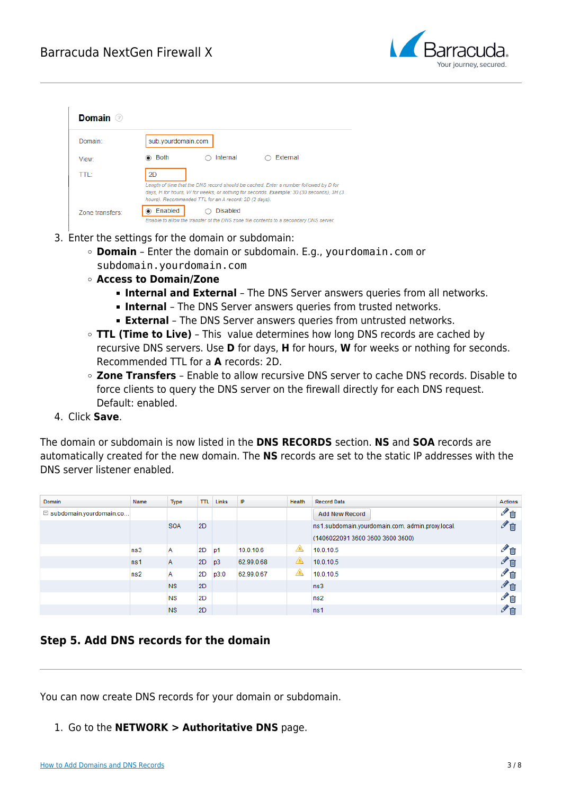

| Domain 2          |                                                                                                                                                                                                                                                 |
|-------------------|-------------------------------------------------------------------------------------------------------------------------------------------------------------------------------------------------------------------------------------------------|
| Domain:           | sub.yourdomain.com                                                                                                                                                                                                                              |
| View <sup>-</sup> | Internal<br>External<br><b>Both</b>                                                                                                                                                                                                             |
| TTI 1             | 2D<br>Length of time that the DNS record should be cached. Enter a number followed by D for<br>days, H for hours, W for weeks, or nothing for seconds. Example: 30 (30 seconds), 3H (3<br>hours). Recommended TTL for an A record: 2D (2 days). |
| Zone transfers:   | Enabled<br><b>Disabled</b><br>Enable to allow the transfer of the DNS zone file contents to a secondary DNS server.                                                                                                                             |

- 3. Enter the settings for the domain or subdomain:
	- **Domain** Enter the domain or subdomain. E.g., yourdomain.com or subdomain.yourdomain.com
	- **Access to Domain/Zone**
		- **Internal and External** The DNS Server answers queries from all networks.
		- **Internal**  The DNS Server answers queries from trusted networks.
		- **External** The DNS Server answers queries from untrusted networks.
	- **TTL (Time to Live)** This value determines how long DNS records are cached by recursive DNS servers. Use **D** for days, **H** for hours, **W** for weeks or nothing for seconds. Recommended TTL for a **A** records: 2D.
	- **Zone Transfers** Enable to allow recursive DNS server to cache DNS records. Disable to force clients to query the DNS server on the firewall directly for each DNS request. Default: enabled.
- 4. Click **Save**.

The domain or subdomain is now listed in the **DNS RECORDS** section. **NS** and **SOA** records are automatically created for the new domain. The **NS** records are set to the static IP addresses with the DNS server listener enabled.

| Domain                            | Name            | <b>Type</b> | TTL. | <b>Links</b> | IP         | Health | <b>Record Data</b>                               | Actions |
|-----------------------------------|-----------------|-------------|------|--------------|------------|--------|--------------------------------------------------|---------|
| $\boxdot$ subdomain.yourdomain.co |                 |             |      |              |            |        | <b>Add New Record</b>                            | ✔ 面     |
|                                   |                 | <b>SOA</b>  | 2D   |              |            |        | ns1.subdomain.yourdomain.com. admin.proxy.local. | ✔面      |
|                                   |                 |             |      |              |            |        | (1406022091 3600 3600 3600 3600)                 |         |
|                                   | ns3             | A           | 2D   | p1           | 10.0.10.6  | ◬      | 10.0.10.5                                        | ╱⋒      |
|                                   | ns <sub>1</sub> | Α           | 2D   | p3           | 62.99.0.68 | ◬      | 10.0.10.5                                        | ✔ 面     |
|                                   | ns2             | Α           | 2D   | p3:0         | 62.99.0.67 | ⚠      | 10.0.10.5                                        | ╱⋒      |
|                                   |                 | <b>NS</b>   | 2D   |              |            |        | ns3                                              | ✔ 面     |
|                                   |                 | <b>NS</b>   | 2D   |              |            |        | ns2                                              | ✔面      |
|                                   |                 | <b>NS</b>   | 2D   |              |            |        | ns <sub>1</sub>                                  | ✔ 面     |

### **Step 5. Add DNS records for the domain**

You can now create DNS records for your domain or subdomain.

1. Go to the **NETWORK > Authoritative DNS** page.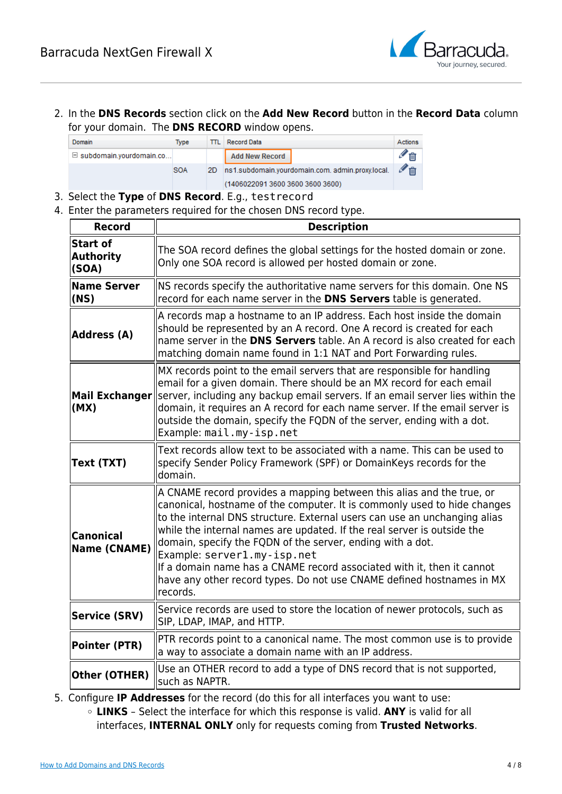

2. In the **DNS Records** section click on the **Add New Record** button in the **Record Data** column for your domain. The **DNS RECORD** window opens.

| Domain                            | Type       |     | <b>TTL</b> Record Data                            | Actions        |
|-----------------------------------|------------|-----|---------------------------------------------------|----------------|
| $\boxdot$ subdomain.yourdomain.co |            |     | <b>Add New Record</b>                             | 俪              |
|                                   | <b>SOA</b> | 2D. | Ins1.subdomain.yourdomain.com. admin.proxy.local. | $\mathbb{Z}$ m |
|                                   |            |     | se encononce acon acon acon acont                 |                |

- (1406022091 3600 3600 3600 3600)
- 3. Select the **Type** of **DNS Record**. E.g., testrecord
- 4. Enter the parameters required for the chosen DNS record type.

| <b>Record</b>                                | <b>Description</b>                                                                                                                                                                                                                                                                                                                                                                                                                                                                                                                                                    |
|----------------------------------------------|-----------------------------------------------------------------------------------------------------------------------------------------------------------------------------------------------------------------------------------------------------------------------------------------------------------------------------------------------------------------------------------------------------------------------------------------------------------------------------------------------------------------------------------------------------------------------|
| <b>Start of</b><br><b>Authority</b><br>(SOA) | The SOA record defines the global settings for the hosted domain or zone.<br>Only one SOA record is allowed per hosted domain or zone.                                                                                                                                                                                                                                                                                                                                                                                                                                |
| <b>Name Server</b><br>(NS)                   | NS records specify the authoritative name servers for this domain. One NS<br>record for each name server in the DNS Servers table is generated.                                                                                                                                                                                                                                                                                                                                                                                                                       |
| Address (A)                                  | A records map a hostname to an IP address. Each host inside the domain<br>should be represented by an A record. One A record is created for each<br>name server in the DNS Servers table. An A record is also created for each<br>matching domain name found in 1:1 NAT and Port Forwarding rules.                                                                                                                                                                                                                                                                    |
| Mail Exchanger<br>(MX)                       | MX records point to the email servers that are responsible for handling<br>email for a given domain. There should be an MX record for each email<br>server, including any backup email servers. If an email server lies within the<br>domain, it requires an A record for each name server. If the email server is<br>outside the domain, specify the FQDN of the server, ending with a dot.<br>Example: mail.my-isp.net                                                                                                                                              |
| Text (TXT)                                   | Text records allow text to be associated with a name. This can be used to<br>specify Sender Policy Framework (SPF) or DomainKeys records for the<br>domain.                                                                                                                                                                                                                                                                                                                                                                                                           |
| <b>Canonical</b><br>Name (CNAME)             | A CNAME record provides a mapping between this alias and the true, or<br>canonical, hostname of the computer. It is commonly used to hide changes<br>to the internal DNS structure. External users can use an unchanging alias<br>while the internal names are updated. If the real server is outside the<br>domain, specify the FQDN of the server, ending with a dot.<br>Example: server1.my-isp.net<br>If a domain name has a CNAME record associated with it, then it cannot<br>have any other record types. Do not use CNAME defined hostnames in MX<br>records. |
| <b>Service (SRV)</b>                         | Service records are used to store the location of newer protocols, such as<br>SIP, LDAP, IMAP, and HTTP.                                                                                                                                                                                                                                                                                                                                                                                                                                                              |
| <b>Pointer (PTR)</b>                         | PTR records point to a canonical name. The most common use is to provide<br>a way to associate a domain name with an IP address.                                                                                                                                                                                                                                                                                                                                                                                                                                      |
| Other (OTHER)                                | Use an OTHER record to add a type of DNS record that is not supported,<br>such as NAPTR.                                                                                                                                                                                                                                                                                                                                                                                                                                                                              |

5. Configure **IP Addresses** for the record (do this for all interfaces you want to use:

**LINKS** – Select the interface for which this response is valid. **ANY** is valid for all interfaces, **INTERNAL ONLY** only for requests coming from **Trusted Networks**.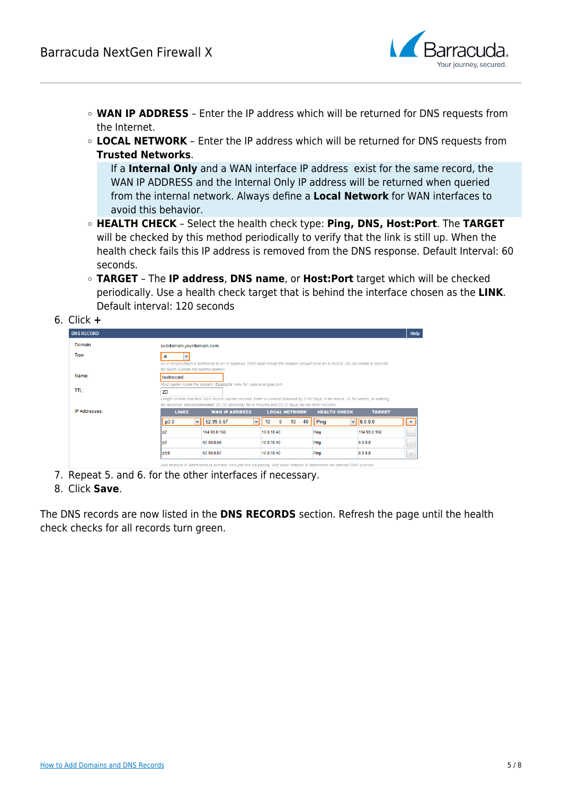

- **WAN IP ADDRESS** Enter the IP address which will be returned for DNS requests from the Internet.
- **LOCAL NETWORK** Enter the IP address which will be returned for DNS requests from **Trusted Networks**.

If a **Internal Only** and a WAN interface IP address exist for the same record, the WAN IP ADDRESS and the Internal Only IP address will be returned when queried from the internal network. Always define a **Local Network** for WAN interfaces to avoid this behavior.

- **HEALTH CHECK** Select the health check type: **Ping, DNS, Host:Port**. The **TARGET** will be checked by this method periodically to verify that the link is still up. When the health check fails this IP address is removed from the DNS response. Default Interval: 60 seconds.
- **TARGET** The **IP address**, **DNS name**, or **Host:Port** target which will be checked periodically. Use a health check target that is behind the interface chosen as the **LINK**. Default interval: 120 seconds

| ı<br>-<br>л<br>. . |  |
|--------------------|--|
|                    |  |

| <b>DNS RECORD</b> |                                                                                                                                |                           |
|-------------------|--------------------------------------------------------------------------------------------------------------------------------|---------------------------|
| Domain            | subdomain.yourdomain.com.                                                                                                      |                           |
| <b>Type</b>       | A<br>$\checkmark$                                                                                                              |                           |
|                   | An A record maps a hostname to an IP address. Each host inside the domain should have an A record. Do not create A records     |                           |
|                   | for hosts outside the hosted domain                                                                                            |                           |
| Name:             | testrecord                                                                                                                     |                           |
|                   | Host name inside the domain. Example: www.for: www.example.com                                                                 |                           |
|                   |                                                                                                                                |                           |
| TTL:              | 2D                                                                                                                             |                           |
|                   | Length of time that this DNS record can be cached. Enter a number followed by D for days, H for hours, W for weeks, or nothing |                           |
|                   | for seconds. Recommended: 30 (30 seconds) for A records and 2D (2 days) for all other records.                                 |                           |
| IP Addresses:     | <b>LOCAL NETWORK</b><br><b>LINKS</b><br><b>WAN IP ADDRESS</b><br><b>HEALTH CHECK</b><br><b>TARGET</b>                          |                           |
|                   | $\vee$ 8.8.8.8<br>62.99.0.67<br>$10.0 \cdot 10.40$<br>Ping<br>p3:0<br>$\mathsf{v}$<br>v                                        |                           |
|                   | p2<br>194.93.0.198<br>10.0.10.40<br>Ping<br>194.93.0.198                                                                       | $\sim$                    |
|                   | D <sub>3</sub><br>62.99.0.68<br>8.8.8.8<br>10.0.10.40<br>Ping                                                                  | $\ddot{\phantom{1}}$<br>٠ |

- 7. Repeat 5. and 6. for the other interfaces if necessary.
- 8. Click **Save**.

The DNS records are now listed in the **DNS RECORDS** section. Refresh the page until the health check checks for all records turn green.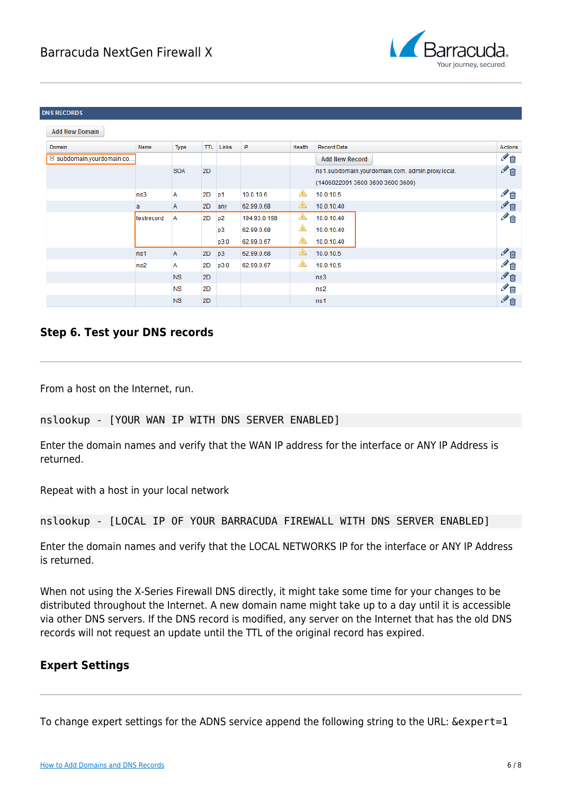

#### **DNS RECORDS**

| <b>Add New Domain</b>             |            |                |                |       |              |        |                                                  |         |
|-----------------------------------|------------|----------------|----------------|-------|--------------|--------|--------------------------------------------------|---------|
| Domain                            | Name       | <b>Type</b>    | <b>TTL</b>     | Links | IP           | Health | <b>Record Data</b>                               | Actions |
| $\boxdot$ subdomain.yourdomain.co |            |                |                |       |              |        | <b>Add New Record</b>                            | ╱⋒      |
|                                   |            | <b>SOA</b>     | 2 <sub>D</sub> |       |              |        | ns1.subdomain.yourdomain.com. admin.proxy.local. | ✔面      |
|                                   |            |                |                |       |              |        | (1406022091 3600 3600 3600 3600)                 |         |
|                                   | ns3        | Α              | 2D             | p1    | 10.0.10.6    | ◬      | 10.0.10.5                                        | ✔ 面     |
|                                   | a          | $\overline{A}$ | 2D             | any   | 62.99.0.68   | ◬      | 10.0.10.40                                       | ✔ 面     |
|                                   | testrecord | Α              | 2D             | p2    | 194.93.0.198 | ◬      | 10.0.10.40                                       | ✔ 面     |
|                                   |            |                |                | p3    | 62.99.0.68   | ◬      | 10.0.10.40                                       |         |
|                                   |            |                |                | p3:0  | 62.99.0.67   | ◬      | 10.0.10.40                                       |         |
|                                   | ns1        | $\overline{A}$ | 2D             | p3    | 62.99.0.68   | ◬      | 10.0.10.5                                        | ✔ 面     |
|                                   | ns2        | Α              | 2D             | p3:0  | 62.99.0.67   | ◬      | 10.0.10.5                                        | ◢▥      |
|                                   |            | <b>NS</b>      | 2D             |       |              |        | ns3                                              | ✔ 面     |
|                                   |            | <b>NS</b>      | 2D             |       |              |        | ns2                                              | ◢▥      |
|                                   |            | <b>NS</b>      | 2D             |       |              |        | ns1                                              | ◢▥      |

### **Step 6. Test your DNS records**

From a host on the Internet, run.

nslookup - [YOUR WAN IP WITH DNS SERVER ENABLED]

Enter the domain names and verify that the WAN IP address for the interface or ANY IP Address is returned.

Repeat with a host in your local network

```
nslookup - [LOCAL IP OF YOUR BARRACUDA FIREWALL WITH DNS SERVER ENABLED]
```
Enter the domain names and verify that the LOCAL NETWORKS IP for the interface or ANY IP Address is returned.

When not using the X-Series Firewall DNS directly, it might take some time for your changes to be distributed throughout the Internet. A new domain name might take up to a day until it is accessible via other DNS servers. If the DNS record is modified, any server on the Internet that has the old DNS records will not request an update until the TTL of the original record has expired.

### **Expert Settings**

To change expert settings for the ADNS service append the following string to the URL: &expert=1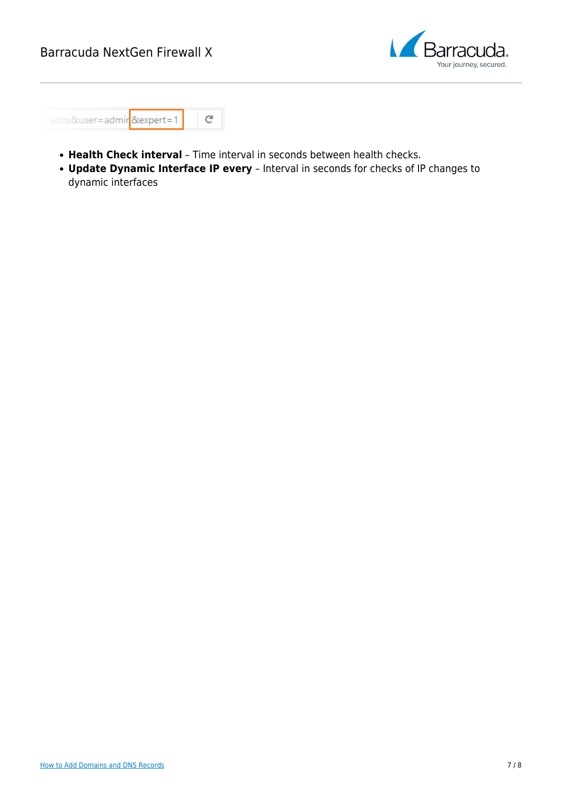# Barracuda NextGen Firewall X



| =adns&user=admir <mark>&amp;expert=1</mark> |  |
|---------------------------------------------|--|
|                                             |  |

- **Health Check interval** Time interval in seconds between health checks.
- **Update Dynamic Interface IP every** Interval in seconds for checks of IP changes to dynamic interfaces